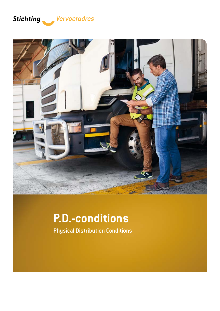### *Vervoeradres*



# **P.D.-conditions**

Physical Distribution Conditions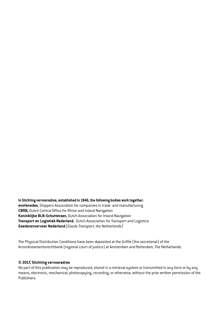**In Stichting vervoeradres, established in 1946, the following bodies work together: evofenedex**, Shippers Association for companies in trade and manufacturing **CBRB,** Dutch Central Office for Rhine and Inland Navigation **Koninklijke BLN-Schuttevaer,** Dutch Association for Inland Navigation **Transport en Logistiek Nederland**, Dutch Association for Transport and Logistics **Goederenvervoer Nederland** *(Goods Transport, the Netherlands)*

The Physical Distribution Conditions have been deposited at the Griffie (the secretariat) of the Arrondissementsrechtbank (regional court of justice) at Amsterdam and Rotterdam, The Netherlands.

#### **© 2017, Stichting vervoeradres**

No part of this publication may be reproduced, stored in a retrieval system or transmitted in any form or by any means, electronic, mechanical, photocopying, recording, or otherwise, without the prior written permission of the Publishers.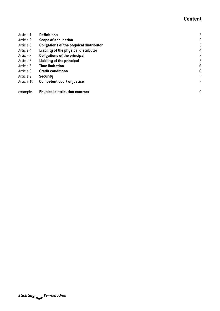### **Content**

| Article 1  | <b>Definitions</b>                      | $\overline{c}$ |
|------------|-----------------------------------------|----------------|
| Article 2  | <b>Scope of application</b>             | 2              |
| Article 3  | Obligations of the physical distributor | 3              |
| Article 4  | Liability of the physical distributor   | $\overline{4}$ |
| Article 5  | <b>Obligations of the principal</b>     | 5              |
| Article 6  | Liability of the principal              | 5              |
| Article 7  | <b>Time limitation</b>                  | 6              |
| Article 8  | <b>Credit conditions</b>                | 6              |
| Article 9  | <b>Security</b>                         | 7              |
| Article 10 | <b>Competent court of justice</b>       | 7              |
|            |                                         |                |
| example    | <b>Physical distribution contract</b>   | 9              |
|            |                                         |                |

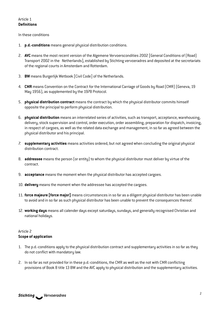#### <span id="page-3-0"></span>Article 1 **Definitions**

In these conditions

- 1. **p.d.-conditions** means general physical distribution conditions.
- 2. **AVC** means the most recent version of the Algemene Vervoerscondities 2002 [General Conditions of (Road) Transport 2002 in the Netherlands], established by Stichting vervoeradres and deposited at the secretariats of the regional courts in Amsterdam and Rotterdam.
- 3. **BW** means Burgerlijk Wetboek [Civil Code] of the Netherlands.
- 4. **CMR** means Convention on the Contract for the International Carriage of Goods by Road (CMR) (Geneva, 19 May 1956), as supplemented by the 1978 Protocol.
- 5. **physical distribution contract** means the contract by which the physical distributor commits himself opposite the principal to perform physical distribution.
- 6. **physical distribution** means an interrelated series of activities, such as transport, acceptance, warehousing, delivery, stock supervision and control, order execution, order assembling, preparation for dispatch, invoicing, in respect of cargoes, as well as the related data exchange and management, in so far as agreed between the physical distributor and his principal.
- 7. **supplementary activities** means activities ordered, but not agreed when concluding the original physical distribution contract.
- 8. **addressee** means the person (or entity) to whom the physical distributor must deliver by virtue of the contract.
- 9. **acceptance** means the moment when the physical distributor has accepted cargoes.
- 10. **delivery** means the moment when the addressee has accepted the cargoes.
- 11. **force majeure [force major]** means circumstances in so far as a diligent physical distributor has been unable to avoid and in so far as such physical distributor has been unable to prevent the consequences thereof.
- 12. **working days** means all calender days except saturdays, sundays, and generally recognised Christian and national holidays.

#### Article 2 **Scope of application**

- 1. The p.d.-conditions apply to the physical distribution contract and supplementary activities in so far as they do not conflict with mandatory law.
- 2. In so far as not provided for in these p.d.-conditions, the CMR as well as the not with CMR conflicting provisions of Book 8 title 13 BW and the AVC apply to physical distribution and the supplementary activities.

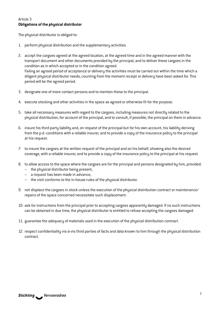#### <span id="page-4-0"></span>Article 3 **Obligations of the physical distributor**

The physical distributor is obliged to:

- 1. perform physical distribution and the supplementary activities.
- 2. accept the cargoes agreed at the agreed location, at the agreed time and in the agreed manner with the transport document and other documents provided by the principal, and to deliver these cargoes in the condition as in which accepted or in the condition agreed. Failing an agreed period of acceptance or delivery the activities must be carried out within the time which a diligent physical distributor needs, counting from the moment receipt or delivery have been asked for. This period will be the agreed period.
- 3. designate one of more contact persons and to mention these to the principal.
- 4. execute stocking and other activities in the space as agreed or otherwise fit for the purpose.
- 5. take all necessary measures with regard to the cargoes, including measures not directly related to the physical distribution, for account of the principal, and to consult, if possible, the principal on them in advance.
- 6. insure his third party liability and, on request of the principal but for his own account, his liability deriving from the p.d.-conditions with a reliable insurer, and to provide a copy of the insurance policy to the principal at his request.
- 7. to insure the cargoes at the written request of the principal and on his behalf, showing also the desired coverage, with a reliable insurer, and to provide a copy of the insurance policy to the principal at his request.
- 8. to allow access to the space where the cargoes are for the principal and persons designated by him, provided:
	- the physical distributor being present,
	- a request has been made in advance,
	- the visit conforms to the in-house rules of the physical distributor.
- 9. not displace the cargoes in stock unless the execution of the physical distribution contract or maintenance/ repairs of the space concerned necessitate such displacement.
- 10. ask for instructions from the principal prior to accepting cargoes apparantly damaged. If no such instructions can be obtained in due time, the physical distributor is entitled to refuse accepting the cargoes damaged.
- 11. guarantee the adequacy of materials used in the execution of the physical distribution contract.
- 12. respect confidentiality vis-à-vis third parties of facts and data known to him through the physical distribution contract.

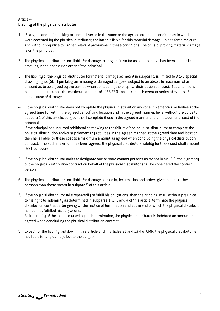#### <span id="page-5-0"></span>Article 4 **Liability of the physical distributor**

- 1. If cargoes and their packing are not delivered in the same or the agreed order and condition as in which they were accepted by the physical distributor, the latter is liable for this material damage, unless force majeure, and without prejudice to further relevant provisions in these conditions. The onus of proving material damage is on the principal.
- 2. The physical distributor is not liable for damage to cargoes in so far as such damage has been caused by stocking in the open air on order of the principal.
- 3. The liability of the physical distributor for material damage as meant in subpara 1 is limited to 8 1/3 special drawing rights (SDR) per kilogram missing or damaged cargoes, subject to an absolute maximum of an amount as to be agreed by the parties when concluding the physical distribution contract. If such amount has not been included, the maximum amount of 453.780 applies for each event or series of events of one same cause of damage.
- 4. If the physical distributor does not complete the physical distribution and/or supplementary activities at the agreed time (or within the agreed period) and location and in the agreed manner, he is, without prejudice to subpara 1 of this article, obliged to still complete these in the agreed manner and at no additional cost of the principal.

If the principal has incurred additional cost owing to the failure of the physical distributor to complete the physical distribution and/or supplementary activities in the agreed manner, at the agreed time and location, then he is liable for these cost to a maximum amount as agreed when concluding the physical distribution contract. If no such maximum has been agreed, the physical distributors liability for these cost shall amount € 681 per event.

- 5. If the physical distributor omits to designate one or more contact persons as meant in art. 3.3, the signatory of the physical distribution contract on behalf of the physical distributor shall be considered the contact person.
- 6. The physical distributor is not liable for damage caused by information and orders given by or to other persons than those meant in subpara 5 of this article.
- 7. If the physcial distributor fails repeatedly to fulfill his obligations, then the principal may, without prejudice to his right to indemnity as determined in subparas 1, 2, 3 and 4 of this article, terminate the physical distribution contract after giving written notice of termination and at the end of which the physical distributor has yet not fulfilled his obligations.

As indemnity of the losses caused by such termination, the physical distributor is indebted an amount as agreed when concluding the physical distribution contract.

8. Except for the liability laid down in this article and in articles 21 and 23.4 of CMR, the physical distributor is not liable for any damage but to the cargoes.

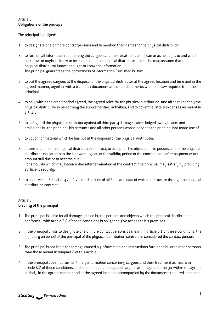#### <span id="page-6-0"></span>Article 5 **Obligations of the principal**

The principal is obliged:

- 1. to designate one or more contactpersons and to mention their names to the physical distributor.
- 2. to furnish all information concerning the cargoes and their treatment as he can or as he ought to and which he knows or ought to know to be essential to the physical distributor, unless he may assume that the physical distributor knows or ought to know the information. The principal guarantees the correctness of information furnished by him.
- 3. to put the agreed cargoes at the disposal of the physical distributor at the agreed location and time and in the agreed manner, together with a transport document and other documents which the law requires from the principal.
- 4. to pay, within the credit period agreed, the agreed price for the physical distribution, and all cost spent by the physical distributor in performing the supplementary activities, and to cover the latters expenses as meant in art. 3.5.
- 5. to safeguard the physical distributor against all third party damage claims lodged owing to acts and omissions by the principal, his servants and all other persons whose services the principal had made use of.
- 6. to vouch for material which he has put at the disposal of the physical distributor.
- 7. at termination of the physical distribution contract, to accept all his objects still in possession of the physical distributor, not later than the last working day of the validity period of the contract, and after payment of any amount still due or to become due.

For amounts which may become due after termination of the contract, the principal may satisfy by providing sufficient security.

8. to observe confidentiality vis-à-vis third parties of all facts and data of which he is aware through the physical distribution contract.

#### Article 6 **Liability of the principal**

- 1. The principal is liable for all damage caused by the persons and objects which the physical distributor in conformity with article 3.8 of these conditions is obliged to give access to his premises.
- 2. If the principal omits to designate one of more contact persons as meant in article 5.1 of these conditions, the signatory on behalf of the principal of the physical distribution contract is considered the contact person.
- 3. The principal is not liable for damage caused by information and instructions furnished by or to other persons than those meant in subpara 2 of this article.
- 4. If the principal does not furnish timely information concerning cargoes and their treatment as meant in article 5.2 of these conditions, or does not supply the agreed cargoes at the agreed time (or within the agreed period), in the agreed manner and at the agreed location, accompanied by the documents required as meant

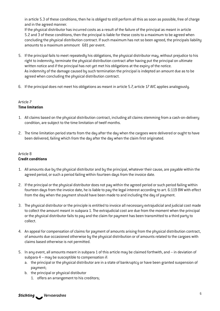<span id="page-7-0"></span>in article 5.3 of these conditions, then he is obliged to still perform all this as soon as possible, free of charge and in the agreed manner.

If the physical distributor has incurred costs as a result of the failure of the principal as meant in article 5.2 and 3 of these conditions, then the principal is liable for these costs to a maximum to be agreed when concluding the physical distribution contract. If such maximum has not so been agreed, the principals liability amounts to a maximum ammount  $$81$  per event.

- 5. If the principal fails to meet repeatedly his obligations, the physical distributor may, without prejudice to his right to indemnity, terminate the physical distribution contract after having put the principal on ultimate written notice and if the principal has not yet met his obligations at the expiry of the notice. As indemnity of the damage caused by such termination the principal is indepted an amount due as to be agreed when concluding the physical distribution contract.
- 6. If the principal does not meet his obligations as meant in article 5.7, article 17 AVC applies analogously.

#### Article 7 **Time limitation**

- 1. All claims based on the physical distribution contract, including all claims stemming from a cash-on-delivery condition, are subject to the time limitation of twelf months.
- 2. The time limitation period starts from the day after the day when the cargoes were delivered or ought to have been delivered, failing which from the day after the day when the claim first originated.

#### Article 8 **Credit conditions**

- 1. All amounts due by the physical distributor and by the principal, whatever their cause, are payable within the agreed period, or such a period failing within fourteen days from the invoice date.
- 2. If the principal or the physical distributor does not pay within the agreed period or such period failing within fourteen days from the invoice date, he is liable to pay the legal interest according to art. 6:119 BW with effect from the day when the payment should have been made to and including the day of payment.
- 3. The physical distributor or the principle is entitled to invoice all necessary extrajudicial and judicial cost made to collect the amount meant in subpara 1. The extrajudicial cost are due from the moment when the principal or the physical distributor fails to pay and the claim for payment has been transmitted to a third party to collect.
- 4. An appeal for compensation of claims for payment of amounts arising from the physical distribution contract, of amounts due occasioned otherwise by the physical distribution or of amounts related to the cargoes with claims based otherwise is not permitted.
- 5. In any event, all amounts meant in subpara 1 of this article may be claimed forthwith, and in deviation of subpara 4 – may be susceptible to compensation if:
	- a. the principal or the physical distributor are in a state of bankruptcy or have been granted suspension of payment;
	- b. the principal or physical distibutor
		- 1. offers an arrangement to his creditors;

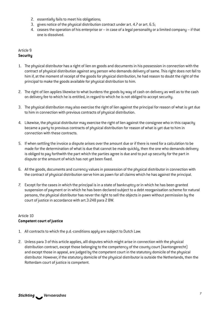- <span id="page-8-0"></span>2. essentially fails to meet his obligations;
- 3. gives notice of the physical distribution contract under art. 4.7 or art. 6.5;
- 4. ceases the operation of his enterprise or in case of a legal personality or a limited company if that one is dissolved.

#### Article 9 **Security**

- 1. The physical distributor has a right of lien on goods and documents in his possession in connection with the contract of physical distribution against any person who demands delivery of same. This right does not fall to him if, at the moment of receipt of the goods for physical distribution, he had reason to doubt the right of the principal to make the goods available for physical distribution to him.
- 2. The right of lien applies likewise to what burdens the goods by way of cash on delivery as well as to the cash on delivery fee to which he is entitled, in regard to which he is not obliged to accept security.
- 3. The physical distribution may also exercise the right of lien against the principal for reason of what is yet due to him in connection with previous contracts of physical distribution.
- 4. Likewise, the physical distributor may exercise the right of lien against the consignee who in this capacity became a party to previous contracts of physical distribution for reason of what is yet due to him in connection with these contracts.
- 5. If when settling the invoice a dispute arises over the amount due or if there is need for a calculation to be made for the determination of what is due that cannot be made quickly, then the one who demands delivery is obliged to pay forthwith the part which the parties agree is due and to put up security for the part in dispute or the amount of which has not yet been fixed.
- 6. All the goods, documents and currency values in possession of the physical distributor in connection with the contract of physical distribution serve him as pawn for all claims which he has against the principal.
- 7. Except for the cases in which the principal is in a state of bankruptcy or in which he has been granted suspension of payment or in which he has been declared subject to a debt reorganisation scheme for natural persons, the physical distributor has never the right to sell the objects in pawn without permission by the court of justice in accordance with art.3:248 para 2 BW.

#### Article 10 **Competent court of justice**

- 1. All contracts to which the p.d.-conditions apply are subject to Dutch Law.
- 2. Unless para 3 of this article applies, alll disputes which might arise in connection with the physical distribution contract, except those belonging to the competency of the county court (kantongerecht) and except those in appeal, are judged by the competent court in the statutory domicile of the physical distributor. However, if the statutory domicile of the physical distributor is outside the Netherlands, then the Rotterdam court of justice is competent.

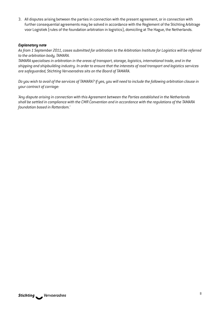3. All disputes arising between the parties in connection with the present agreement, or in connection with further consequential agreements may be solved in accordance with the Reglement of the Stichting Arbitrage voor Logistiek (rules of the foundation arbitration in logistics), domiciling at The Hague, the Netherlands.

#### *Explanatory note*

*As from 1 September 2011, cases submitted for arbitration to the Arbitration Institute for Logistics will be referred to the arbitration body, TAMARA.*

*TAMARA specialises in arbitration in the areas of transport, storage, logistics, international trade, and in the shipping and shipbuilding industry. In order to ensure that the interests of road transport and logistics services are safeguarded, Stichting Vervoeradres sits on the Board of TAMARA.*

*Do you wish to avail of the services of TAMARA? If yes, you will need to include the following arbitration clause in your contract of carriage:*

*'Any dispute arising in connection with this Agreement between the Parties established in the Netherlands shall be settled in compliance with the CMR Convention and in accordance with the regulations of the TAMARA foundation based in Rotterdam.'*

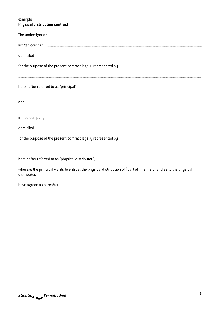#### <span id="page-10-0"></span>example **Physical distribution contract**

| The undersigned:                                                                                                                                                                                                                                                                                 |  |  |
|--------------------------------------------------------------------------------------------------------------------------------------------------------------------------------------------------------------------------------------------------------------------------------------------------|--|--|
|                                                                                                                                                                                                                                                                                                  |  |  |
|                                                                                                                                                                                                                                                                                                  |  |  |
| for the purpose of the present contract legally represented by<br>and the contract of the contract of the contract of the contract of the contract of the contract of the contract of the contract of the contract of the contract of the contract of the contract of the contract of the contra |  |  |
| hereinafter referred to as "principal"                                                                                                                                                                                                                                                           |  |  |
| and                                                                                                                                                                                                                                                                                              |  |  |
| imited company entity and the company of the company of the company of the company of the company of the compa                                                                                                                                                                                   |  |  |
|                                                                                                                                                                                                                                                                                                  |  |  |
| for the purpose of the present contract legally represented by                                                                                                                                                                                                                                   |  |  |
| hereinafter referred to as "physical distributor",                                                                                                                                                                                                                                               |  |  |
| whereas the principal wants to entrust the physical distribution of (part of) his merchandise to the physical                                                                                                                                                                                    |  |  |

have agreed as hereafter :

distributor,

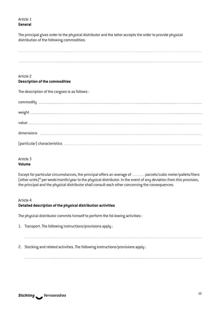#### Article 1 **General**

The principal gives order to the physical distributor and the latter accepts the order to provide physical distribution of the following commodities:

| Article 2                                                                                                                                                                                                                            |
|--------------------------------------------------------------------------------------------------------------------------------------------------------------------------------------------------------------------------------------|
| <b>Description of the commodities</b>                                                                                                                                                                                                |
| The description of the cargoes is as follows:                                                                                                                                                                                        |
|                                                                                                                                                                                                                                      |
|                                                                                                                                                                                                                                      |
| $value \label{eq:value} \text{value} \vspace{-.5cm}$                                                                                                                                                                                 |
|                                                                                                                                                                                                                                      |
| [particular] characteristics <b>contained a set of the set of the set of the set of the set of the set of the set of the set of the set of the set of the set of the set of the set of the set of the set of the set of the set </b> |

#### Article 3 **Volume**

Except for particular circumstances, the principal offers an average of **manual** parcels/cubic meter/pallets/liters (other units)\* per week/month/year to the physical distributor. In the event of any deviation from this provision, the principal and the physical distributor shall consult each other concerning the consequences.

#### Article 4

#### **Detailed description of the physical distribution activities**

The physical distributor commits himself to perform the fol-lowing activities :

- 1. Transport. The following instructions/provisions apply :
- 2. Stocking and related activities. The following instructions/provisions apply :

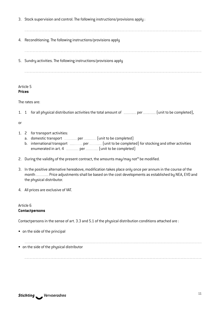- 3. Stock supervision and control. The following instructions/provisions apply :
- 4. Reconditioning. The following instructions/provisions apply
- 5. Sundry activities. The following instructions/provisions apply

#### Article 5 **Prices**

The rates are:

1. 1 for all physical distribution activities the total amount of  $\epsilon$  per  $[$ unit to be completed),

or

- 1. 2 for transport activities:
	- a. domestic transport  $\epsilon$  per  $\epsilon$  [unit to be completed]
	- b. international transport  $\epsilon$  per  $\epsilon$  [unit to be completed] for stocking and other activities enumerated in art.  $4 \in$  per  $[$ unit to be completed)
- 2. During the validity of the present contract, the amounts may/may not\* be modified.
- 3. In the positive alternative hereabove, modification takes place only once per annum in the course of the month **ECO and Price adjustments shall be based on the cost developments as established by NEA, EVO and** the physical distributor.
- 4. All prices are exclusive of VAT.

#### Article 6 **Contactpersons**

Contactpersons in the sense of art. 3.3 and 5.1 of the physical distribution conditions attached are :

• on the side of the principal

• on the side of the physical distributor

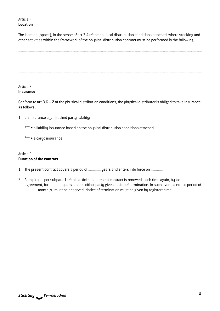Article 7 **Location**

The location (space), in the sense of art.3.4 of the physical distrubution conditions attached, where stocking and other activities within the framework of the physical distribution contract must be performed is the following:



#### Article 8 **Insurance**

Conform to art.3.6  $+$  7 of the physical distribution conditions, the physical distributor is obliged to take insurance as follows :

- 1. an insurance against third party liability;
	- \*\*\* a liability insurance based on the physical distribution conditions attached;
	- \*\*\* a cargo insurance

#### Article 9 **Duration of the contract**

- 1. The present contract covers a period of \_\_\_\_\_\_\_\_ years and enters into force on \_\_\_\_\_\_\_\_
- 2. At expiry as per subpara 1 of this article, the present contract is renewed, each time again, by tacit agreement, for *werement*, and years, unless either party gives notice of termination. In such event, a notice period of month(s) must be observed. Notice of termination must be given by registered mail.

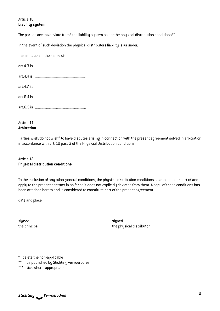#### Article 10 **Liability system**

The parties accept/deviate from\* the liability system as per the physical distribution conditions\*\*.

In the event of such deviation the physical distributors liability is as under:

the limitation in the sense of:

| $\arct.4.3$ is $\epsilon$ |
|---------------------------|
| $\arct.4.4$ is $\epsilon$ |
| art.4.7 is €              |
| art.6.4 is $\epsilon$     |
| art.6.5 is $\epsilon$     |

#### Article 11 **Arbitration**

Parties wish/do not wish\* to have disputes arising in connection with the present agreement solved in arbitration in accordance with art. 10 para 3 of the Physicial Distribution Conditions.

#### Article 12 **Physical distribution conditions**

To the exclusion of any other general conditions, the physical distribution conditions as attached are part of and apply to the present contract in so far as it does not explicitly deviates from them. A copy of these conditions has been attached hereto and is considered to constitute part of the present agreement.

date and place

signed signed signed signed signed signed signed signed signed signed signed signed signed signed signed signed

the principal the physical distributor

\* delete the non-applicable

\*\* as published by Stichting vervoeradres

\*\*\* tick where appropriate

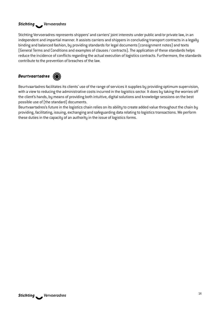#### *Vervoeradres*

Stichting Vervoeradres represents shippers' and carriers' joint interests under public and/or private law, in an independent and impartial manner. It assists carriers and shippers in concluding transport contracts in a legally binding and balanced fashion, by providing standards for legal documents (consignment notes) and texts (General Terms and Conditions and examples of clauses / contracts). The application of these standards helps reduce the incidence of conflicts regarding the actual execution of logistics contracts. Furthermore, the standards contribute to the prevention of breaches of the law.

#### Beurtvaartadres  $\circled{\color{red} \bullet}$



Beurtvaartadres facilitates its clients' use of the range of services it supplies by providing optimum supervision, with a view to reducing the administrative costs incurred in the logistics sector. It does by taking the worries off the client's hands, by means of providing both intuitive, digital solutions and knowledge sessions on the best possible use of (the standard) documents.

Beurtvaartadres's future in the logistics chain relies on its ability to create added value throughout the chain by providing, facilitating, issuing, exchanging and safeguarding data relating to logistics transactions. We perform these duties in the capacity of an authority in the issue of logistics forms.